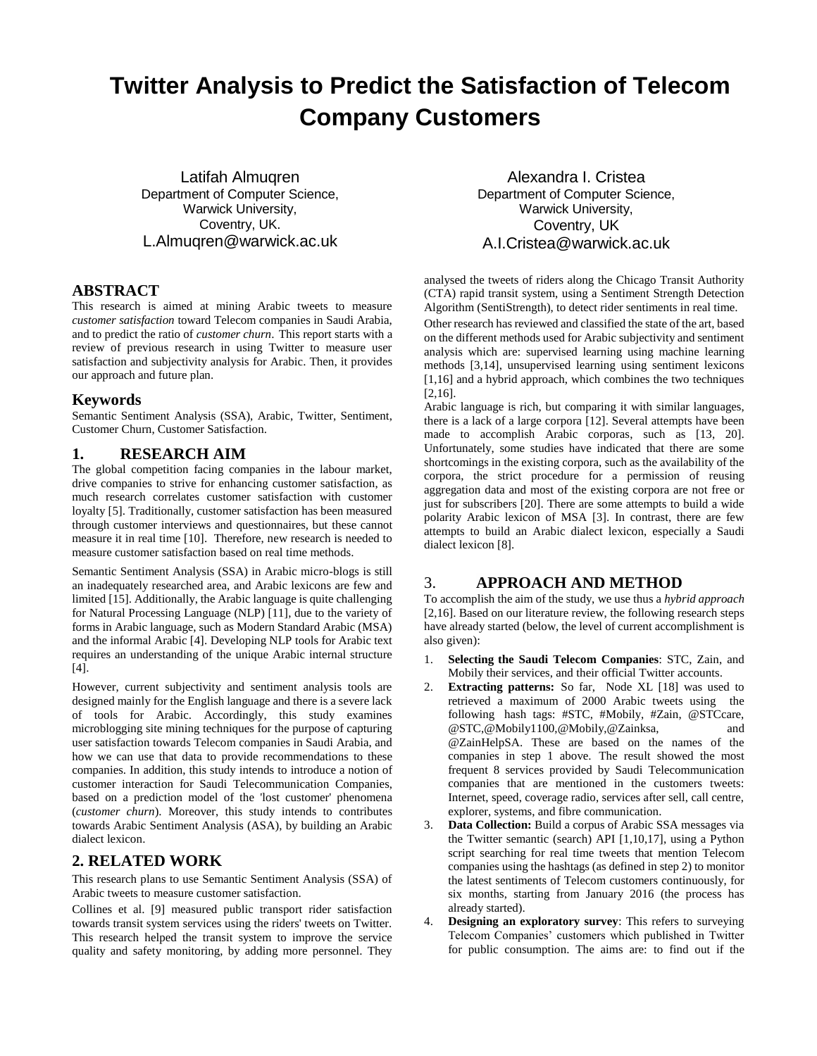# **Twitter Analysis to Predict the Satisfaction of Telecom Company Customers**

Latifah Almuqren Department of Computer Science, Warwick University, Coventry, UK. L.Almuqren@warwick.ac.uk

## **ABSTRACT**

This research is aimed at mining Arabic tweets to measure *customer satisfaction* toward Telecom companies in Saudi Arabia, and to predict the ratio of *customer churn*. This report starts with a review of previous research in using Twitter to measure user satisfaction and subjectivity analysis for Arabic. Then, it provides our approach and future plan.

#### **Keywords**

Semantic Sentiment Analysis (SSA), Arabic, Twitter, Sentiment, Customer Churn, Customer Satisfaction.

## **1. RESEARCH AIM**

The global competition facing companies in the labour market, drive companies to strive for enhancing customer satisfaction, as much research correlates customer satisfaction with customer loyalty [5]. Traditionally, customer satisfaction has been measured through customer interviews and questionnaires, but these cannot measure it in real time [10]. Therefore, new research is needed to measure customer satisfaction based on real time methods.

Semantic Sentiment Analysis (SSA) in Arabic micro-blogs is still an inadequately researched area, and Arabic lexicons are few and limited [15]. Additionally, the Arabic language is quite challenging for Natural Processing Language (NLP) [11], due to the variety of forms in Arabic language, such as Modern Standard Arabic (MSA) and the informal Arabic [4]. Developing NLP tools for Arabic text requires an understanding of the unique Arabic internal structure [4].

However, current subjectivity and sentiment analysis tools are designed mainly for the English language and there is a severe lack of tools for Arabic. Accordingly, this study examines microblogging site mining techniques for the purpose of capturing user satisfaction towards Telecom companies in Saudi Arabia, and how we can use that data to provide recommendations to these companies. In addition, this study intends to introduce a notion of customer interaction for Saudi Telecommunication Companies, based on a prediction model of the 'lost customer' phenomena (*customer churn*). Moreover, this study intends to contributes towards Arabic Sentiment Analysis (ASA), by building an Arabic dialect lexicon.

## **2. RELATED WORK**

This research plans to use Semantic Sentiment Analysis (SSA) of Arabic tweets to measure customer satisfaction.

Collines et al. [9] measured public transport rider satisfaction towards transit system services using the riders' tweets on Twitter. This research helped the transit system to improve the service quality and safety monitoring, by adding more personnel. They

Alexandra I. Cristea Department of Computer Science, Warwick University, Coventry, UK [A.I.Cristea@warwick.ac.uk](mailto:A.I.Cristea@warwick.ac.uk)

analysed the tweets of riders along the Chicago Transit Authority (CTA) rapid transit system, using a Sentiment Strength Detection Algorithm (SentiStrength), to detect rider sentiments in real time.

Other research has reviewed and classified the state of the art, based on the different methods used for Arabic subjectivity and sentiment analysis which are: supervised learning using machine learning methods [3,14], unsupervised learning using sentiment lexicons [1,16] and a hybrid approach, which combines the two techniques [2,16].

Arabic language is rich, but comparing it with similar languages, there is a lack of a large corpora [12]. Several attempts have been made to accomplish Arabic corporas, such as [13, 20]. Unfortunately, some studies have indicated that there are some shortcomings in the existing corpora, such as the availability of the corpora, the strict procedure for a permission of reusing aggregation data and most of the existing corpora are not free or just for subscribers [20]. There are some attempts to build a wide polarity Arabic lexicon of MSA [3]. In contrast, there are few attempts to build an Arabic dialect lexicon, especially a Saudi dialect lexicon [8].

# 3. **APPROACH AND METHOD**

To accomplish the aim of the study, we use thus a *hybrid approach* [2,16]. Based on our literature review, the following research steps have already started (below, the level of current accomplishment is also given):

- 1. **Selecting the Saudi Telecom Companies**: STC, Zain, and Mobily their services, and their official Twitter accounts.
- 2. **Extracting patterns:** So far, Node XL [18] was used to retrieved a maximum of 2000 Arabic tweets using the following hash tags: #STC, #Mobily, #Zain, @STCcare, @STC,@Mobily1100,@Mobily,@Zainksa, and @ZainHelpSA. These are based on the names of the companies in step 1 above. The result showed the most frequent 8 services provided by Saudi Telecommunication companies that are mentioned in the customers tweets: Internet, speed, coverage radio, services after sell, call centre, explorer, systems, and fibre communication.
- 3. **Data Collection:** Build a corpus of Arabic SSA messages via the Twitter semantic (search) API [1,10,17], using a Python script searching for real time tweets that mention Telecom companies using the hashtags (as defined in step 2) to monitor the latest sentiments of Telecom customers continuously, for six months, starting from January 2016 (the process has already started).
- **Designing an exploratory survey**: This refers to surveying Telecom Companies' customers which published in Twitter for public consumption. The aims are: to find out if the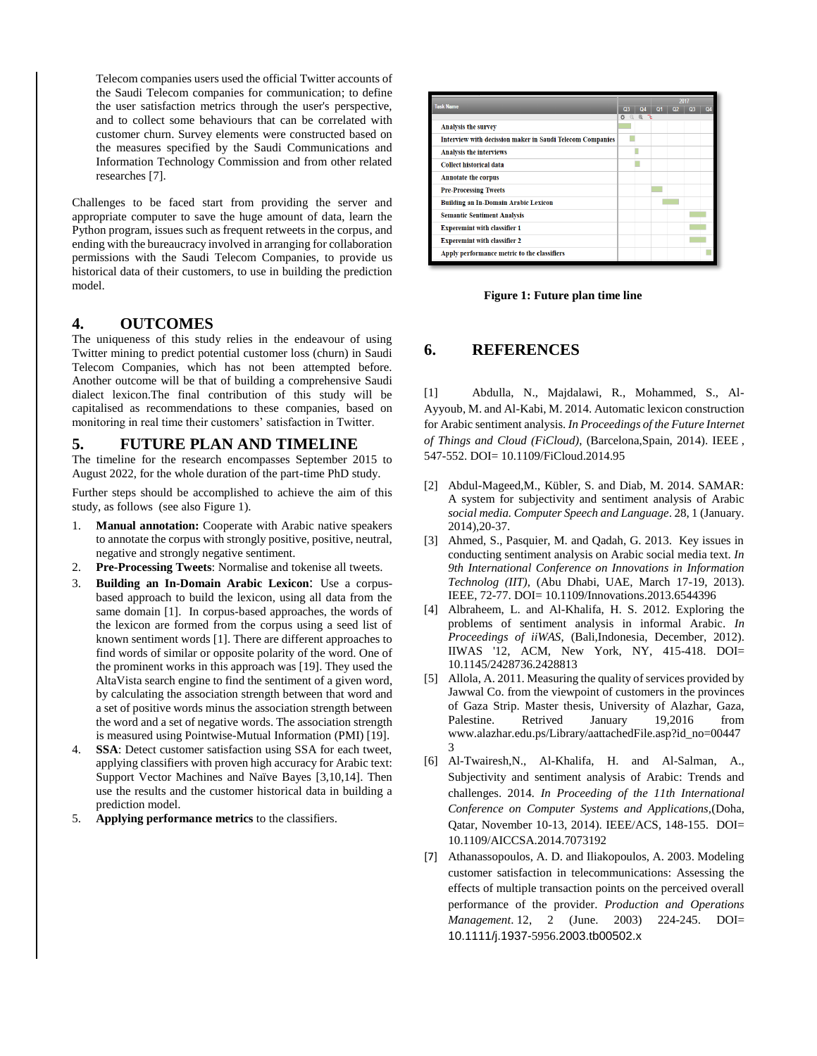Telecom companies users used the official Twitter accounts of the Saudi Telecom companies for communication; to define the user satisfaction metrics through the user's perspective, and to collect some behaviours that can be correlated with customer churn. Survey elements were constructed based on the measures specified by the Saudi Communications and Information Technology Commission and from other related researches [7].

Challenges to be faced start from providing the server and appropriate computer to save the huge amount of data, learn the Python program, issues such as frequent retweets in the corpus, and ending with the bureaucracy involved in arranging for collaboration permissions with the Saudi Telecom Companies, to provide us historical data of their customers, to use in building the prediction model.

#### **4. OUTCOMES**

The uniqueness of this study relies in the endeavour of using Twitter mining to predict potential customer loss (churn) in Saudi Telecom Companies, which has not been attempted before. Another outcome will be that of building a comprehensive Saudi dialect lexicon.The final contribution of this study will be capitalised as recommendations to these companies, based on monitoring in real time their customers' satisfaction in Twitter.

#### **5. FUTURE PLAN AND TIMELINE**

The timeline for the research encompasses September 2015 to August 2022, for the whole duration of the part-time PhD study.

Further steps should be accomplished to achieve the aim of this study, as follows (see also Figure 1).

- 1. **Manual annotation:** Cooperate with Arabic native speakers to annotate the corpus with strongly positive, positive, neutral, negative and strongly negative sentiment.
- 2. **Pre-Processing Tweets**: Normalise and tokenise all tweets.
- 3. **Building an In-Domain Arabic Lexicon**: Use a corpusbased approach to build the lexicon, using all data from the same domain [1]. In corpus-based approaches, the words of the lexicon are formed from the corpus using a seed list of known sentiment words [1]. There are different approaches to find words of similar or opposite polarity of the word. One of the prominent works in this approach was [19]. They used the AltaVista search engine to find the sentiment of a given word, by calculating the association strength between that word and a set of positive words minus the association strength between the word and a set of negative words. The association strength is measured using Pointwise-Mutual Information (PMI) [19].
- SSA: Detect customer satisfaction using SSA for each tweet, applying classifiers with proven high accuracy for Arabic text: Support Vector Machines and Naïve Bayes [3,10,14]. Then use the results and the customer historical data in building a prediction model.
- 5. **Applying performance metrics** to the classifiers.

| <b>Task Name</b>                                                 |                 |    | 2017           |                |  |  |
|------------------------------------------------------------------|-----------------|----|----------------|----------------|--|--|
|                                                                  | Q <sub>3</sub>  | O4 | Q <sub>1</sub> | Q <sub>2</sub> |  |  |
|                                                                  | 办<br>$^{\circ}$ |    |                |                |  |  |
| <b>Analysis the survey</b>                                       |                 |    |                |                |  |  |
| <b>Interview with decission maker in Saudi Telecom Companies</b> |                 |    |                |                |  |  |
| <b>Analysis the interviews</b>                                   |                 |    |                |                |  |  |
| <b>Collect historical data</b>                                   |                 |    |                |                |  |  |
| <b>Annotate the corpus</b>                                       |                 |    |                |                |  |  |
| <b>Pre-Processing Tweets</b>                                     |                 |    |                |                |  |  |
| <b>Building an In-Domain Arabic Lexicon</b>                      |                 |    |                |                |  |  |
| <b>Semantic Sentiment Analysis</b>                               |                 |    |                |                |  |  |
| <b>Experemint with classifier 1</b>                              |                 |    |                |                |  |  |
| <b>Experemint with classifier 2</b>                              |                 |    |                |                |  |  |
| Apply performance metric to the classifiers                      |                 |    |                |                |  |  |

 **Figure 1: Future plan time line**

#### **6. REFERENCES**

[1] Abdulla, N., Majdalawi, R., Mohammed, S., Al-Ayyoub, M. and Al-Kabi, M. 2014. Automatic lexicon construction for Arabic sentiment analysis. *In Proceedings of the Future Internet of Things and Cloud (FiCloud)*, (Barcelona,Spain, 2014). IEEE , 547-552. DOI[= 10.1109/FiCloud.2014.95](http://dx.doi.org/10.1109/FiCloud.2014.95)

- [2] Abdul-Mageed,M., Kübler, S. and Diab, M. 2014. SAMAR: A system for subjectivity and sentiment analysis of Arabic *social media. Computer Speech and Language*. 28, 1 (January. 2014),20-37.
- [3] Ahmed, S., Pasquier, M. and Qadah, G. 2013. Key issues in conducting sentiment analysis on Arabic social media text. *In 9th International Conference on Innovations in Information Technolog (IIT),* (Abu Dhabi, UAE, March 17-19, 2013). IEEE, 72-77. DOI= 10.1109/Innovations.2013.6544396
- [4] Albraheem, L. and Al-Khalifa, H. S. 2012. Exploring the problems of sentiment analysis in informal Arabic. *In Proceedings of iiWAS*, (Bali,Indonesia, December, 2012). IIWAS '12, ACM, New York, NY, 415-418. DOI= 10.1145/2428736.2428813
- [5] Allola, A. 2011. Measuring the quality of services provided by Jawwal Co. from the viewpoint of customers in the provinces of Gaza Strip. Master thesis, University of Alazhar, Gaza, Palestine. Retrived January 19,2016 from www.alazhar.edu.ps/Library/aattachedFile.asp?id\_no=00447 3
- [6] Al-Twairesh,N., Al-Khalifa, H. and Al-Salman, A., Subjectivity and sentiment analysis of Arabic: Trends and challenges. 2014*. In Proceeding of the 11th International Conference on Computer Systems and Applications,*(Doha, Qatar, November 10-13, 2014). IEEE/ACS, 148-155. DOI= [10.1109/AICCSA.2014.7073192](http://dx.doi.org/10.1109/AICCSA.2014.7073192)
- [7] Athanassopoulos, A. D. and Iliakopoulos, A. 2003. Modeling customer satisfaction in telecommunications: Assessing the effects of multiple transaction points on the perceived overall performance of the provider. *Production and Operations Management*. 12, 2 (June. 2003) 224-245. DOI= 10.1111/j.1937-5956.2003.tb00502.x